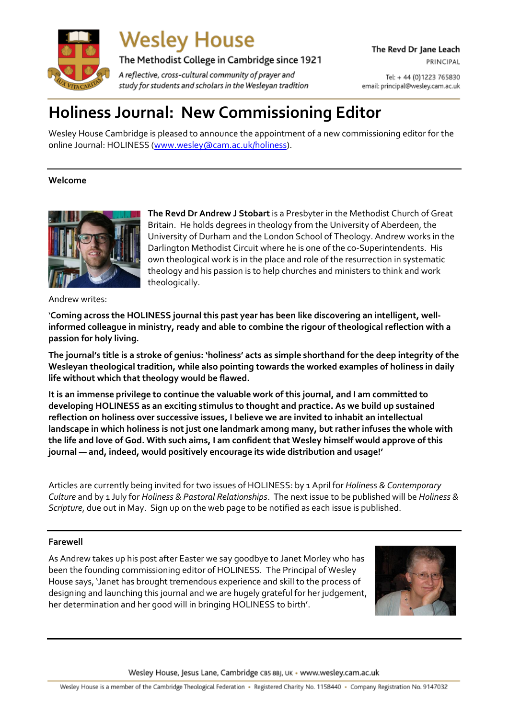

**Wesley House** 

The Methodist College in Cambridge since 1921

A reflective, cross-cultural community of prayer and study for students and scholars in the Wesleyan tradition

Tel: + 44 (0) 1223 765830 email: principal@wesley.cam.ac.uk

# **Holiness Journal: New Commissioning Editor**

Wesley House Cambridge is pleased to announce the appointment of a new commissioning editor for the online Journal: HOLINESS [\(www.wesley@cam.ac.uk/holiness\)](http://www.wesley@cam.ac.uk/holiness).

## **Welcome**



**The Revd Dr Andrew J Stobart** is a Presbyter in the Methodist Church of Great Britain. He holds degrees in theology from the University of Aberdeen, the University of Durham and the London School of Theology. Andrew works in the Darlington Methodist Circuit where he is one of the co-Superintendents. His own theological work is in the place and role of the resurrection in systematic theology and his passion is to help churches and ministers to think and work theologically.

Andrew writes:

'**Coming across the HOLINESS journal this past year has been like discovering an intelligent, wellinformed colleague in ministry, ready and able to combine the rigour of theological reflection with a passion for holy living.**

The journal's title is a stroke of genius: 'holiness' acts as simple shorthand for the deep integrity of the **Wesleyan theological tradition, while also pointing towards the worked examples of holiness in daily life without which that theology would be flawed.**

**It is an immense privilege to continue the valuable work of this journal, and I am committed to developing HOLINESS as an exciting stimulus to thought and practice. As we build up sustained reflection on holiness over successive issues, I believe we are invited to inhabit an intellectual landscape in which holiness is not just one landmark among many, but rather infuses the whole with** the life and love of God. With such aims, I am confident that Wesley himself would approve of this **journal — and, indeed, would positively encourage its wide distribution and usage!'**

Articles are currently being invited for two issues of HOLINESS: by 1 April for *Holiness & Contemporary Culture* and by 1 July for *Holiness & Pastoral Relationships*. The next issue to be published will be *Holiness & Scripture*, due out in May. Sign up on the web page to be notified as each issue is published.

### **Farewell**

As Andrew takes up his post after Easter we say goodbye to Janet Morley who has been the founding commissioning editor of HOLINESS. The Principal of Wesley House says, 'Janet has brought tremendous experience and skill to the process of designing and launching this journal and we are hugely grateful for her judgement, her determination and her good will in bringing HOLINESS to birth'.



Wesley House, Jesus Lane, Cambridge CB5 8BJ, UK · www.wesley.cam.ac.uk